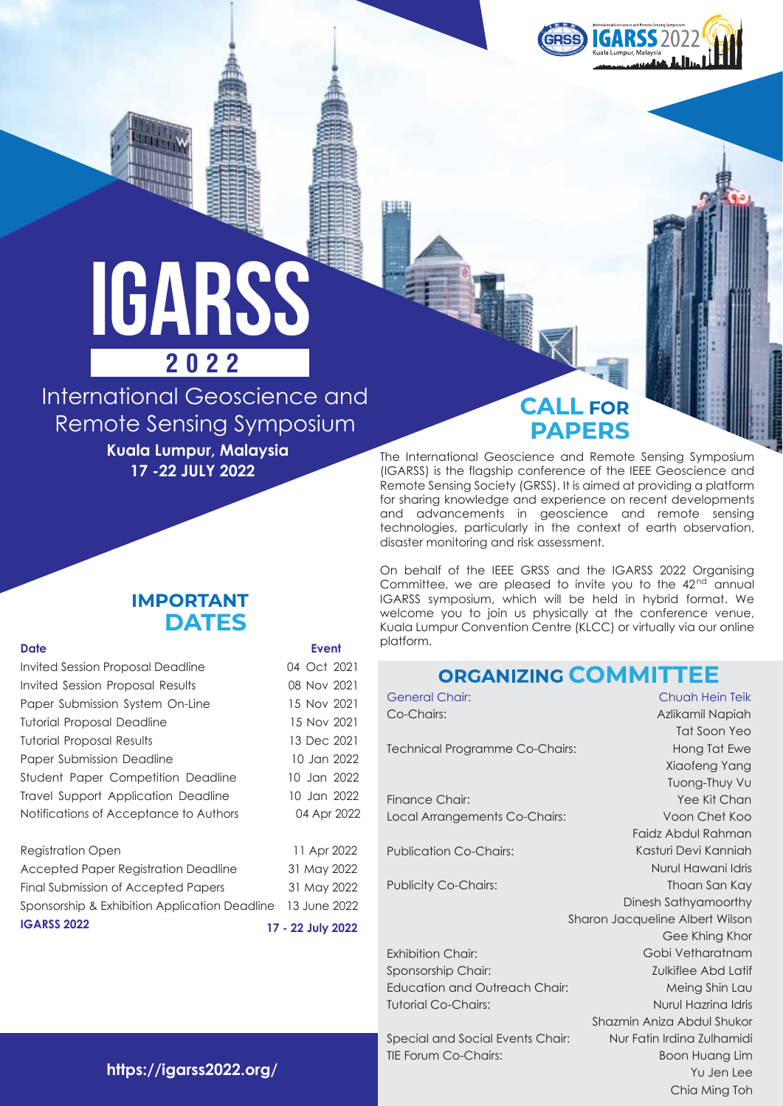

# iGARSS **2022**

International Geoscience and Remote Sensing Symposium

**Kuala Lumpur, Malaysia 17 -22 JULY 2022**

## **CALL FOR PAPERS**

The International Geoscience and Remote Sensing Symposium (IGARSS) is the flagship conference of the IEEE Geoscience and Remote Sensing Society (GRSS). It is aimed at providing a platform for sharing knowledge and experience on recent developments and advancements in geoscience and remote sensing technologies, particularly in the context of earth observation, disaster monitoring and risk assessment.

On behalf of the IEEE GRSS and the IGARSS 2022 Organising Committee, we are pleased to invite you to the 42<sup>nd</sup> annual IGARSS symposium, which will be held in hybrid format. We welcome you to join us physically at the conference venue, Kuala Lumpur Convention Centre (KLCC) or virtually via our online platform.

## **ORGANIZING COMMITTEE**

General Chair: Co-Chairs: Technical Programme Co-Chairs:

Finance Chair: Local Arrangements Co-Chairs:

Publication Co-Chairs:

Publicity Co-Chairs:

Exhibition Chair:

Sponsorship Chair: Education and Outreach Chair: Tutorial Co-Chairs:

Special and Social Events Chair: TIE Forum Co-Chairs:

Kasturi Devi Kanniah Nurul Hawani Idris Thoan San Kay Dinesh Sathyamoorthy Sharon Jacqueline Albert Wilson Gee Khing Khor Gobi Vetharatnam Zulkiflee Abd Latif Meing Shin Lau Nurul Hazrina Idris Shazmin Aniza Abdul Shukor Nur Fatin Irdina Zulhamidi Boon Huang Lim Yu Jen Lee Chia Ming Toh

Chuah Hein Teik Azlikamil Napiah Tat Soon Yeo Hong Tat Ewe Xiaofeng Yang Tuong-Thuy Vu Yee Kit Chan Voon Chet Koo Faidz Abdul Rahman

### **IMPORTANT DATES**

#### **Date Event**

Invited Session Proposal Deadline 04 Oct 2021 Invited Session Proposal Results 08 Nov 2021 Paper Submission System On-Line 15 Nov 2021 Tutorial Proposal Deadline 15 Nov 2021 Tutorial Proposal Results 13 Dec 2021 Paper Submission Deadline 10 Jan 2022 Student Paper Competition Deadline 10 Jan 2022 Travel Support Application Deadline 10 Jan 2022 Notifications of Acceptance to Authors 04 Apr 2022

#### Registration Open 11 Apr 2022

| Final Submission of Accepted Papers<br>Sponsorship & Exhibition Application Deadline 13 June 2022 | 31 May 2022       |
|---------------------------------------------------------------------------------------------------|-------------------|
| <b>IGARSS 2022</b>                                                                                | 17 - 22 July 2022 |

**https://igarss2022.org/**